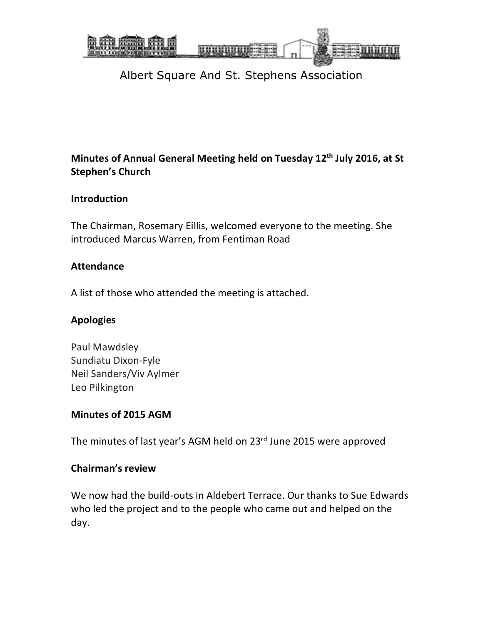

### **Minutes of Annual General Meeting held on Tuesday 12th July 2016, at St Stephen's Church**

#### **Introduction**

The Chairman, Rosemary Eillis, welcomed everyone to the meeting. She introduced Marcus Warren, from Fentiman Road

#### **Attendance**

A list of those who attended the meeting is attached.

### **Apologies**

Paul Mawdsley Sundiatu Dixon-Fyle Neil Sanders/Viv Aylmer Leo Pilkington

### **Minutes of 2015 AGM**

The minutes of last year's AGM held on 23<sup>rd</sup> June 2015 were approved

### **Chairman's review**

We now had the build-outs in Aldebert Terrace. Our thanks to Sue Edwards who led the project and to the people who came out and helped on the day.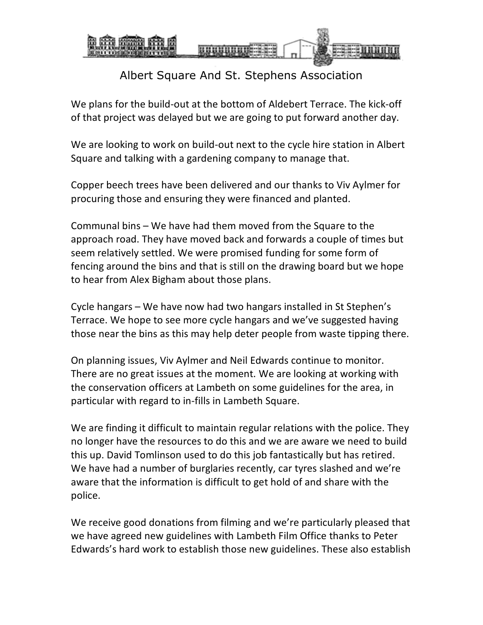

We plans for the build-out at the bottom of Aldebert Terrace. The kick-off of that project was delayed but we are going to put forward another day.

We are looking to work on build-out next to the cycle hire station in Albert Square and talking with a gardening company to manage that.

Copper beech trees have been delivered and our thanks to Viv Aylmer for procuring those and ensuring they were financed and planted.

Communal bins – We have had them moved from the Square to the approach road. They have moved back and forwards a couple of times but seem relatively settled. We were promised funding for some form of fencing around the bins and that is still on the drawing board but we hope to hear from Alex Bigham about those plans.

Cycle hangars – We have now had two hangars installed in St Stephen's Terrace. We hope to see more cycle hangars and we've suggested having those near the bins as this may help deter people from waste tipping there.

On planning issues, Viv Aylmer and Neil Edwards continue to monitor. There are no great issues at the moment. We are looking at working with the conservation officers at Lambeth on some guidelines for the area, in particular with regard to in-fills in Lambeth Square.

We are finding it difficult to maintain regular relations with the police. They no longer have the resources to do this and we are aware we need to build this up. David Tomlinson used to do this job fantastically but has retired. We have had a number of burglaries recently, car tyres slashed and we're aware that the information is difficult to get hold of and share with the police.

We receive good donations from filming and we're particularly pleased that we have agreed new guidelines with Lambeth Film Office thanks to Peter Edwards's hard work to establish those new guidelines. These also establish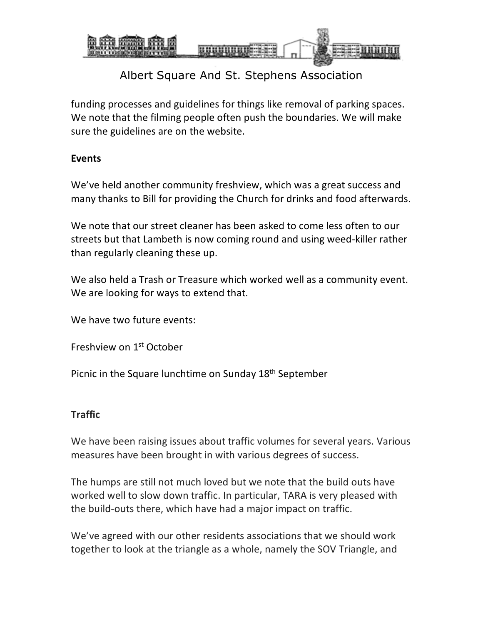

funding processes and guidelines for things like removal of parking spaces. We note that the filming people often push the boundaries. We will make sure the guidelines are on the website.

#### **Events**

We've held another community freshview, which was a great success and many thanks to Bill for providing the Church for drinks and food afterwards.

We note that our street cleaner has been asked to come less often to our streets but that Lambeth is now coming round and using weed-killer rather than regularly cleaning these up.

We also held a Trash or Treasure which worked well as a community event. We are looking for ways to extend that.

We have two future events:

Freshview on 1st October

Picnic in the Square lunchtime on Sunday 18<sup>th</sup> September

### **Traffic**

We have been raising issues about traffic volumes for several years. Various measures have been brought in with various degrees of success.

The humps are still not much loved but we note that the build outs have worked well to slow down traffic. In particular, TARA is very pleased with the build-outs there, which have had a major impact on traffic.

We've agreed with our other residents associations that we should work together to look at the triangle as a whole, namely the SOV Triangle, and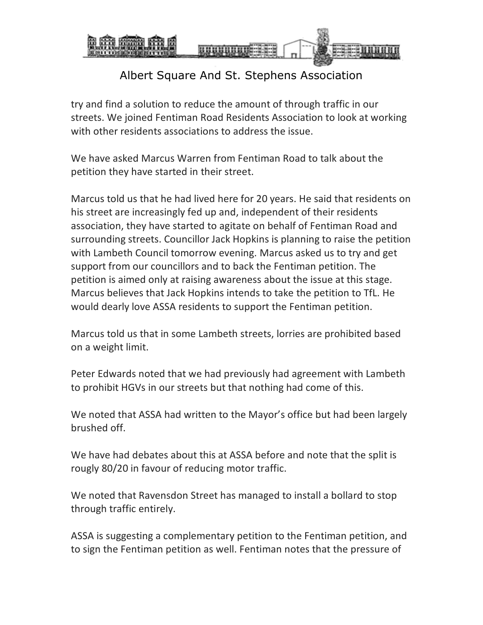

try and find a solution to reduce the amount of through traffic in our streets. We joined Fentiman Road Residents Association to look at working with other residents associations to address the issue.

We have asked Marcus Warren from Fentiman Road to talk about the petition they have started in their street.

Marcus told us that he had lived here for 20 years. He said that residents on his street are increasingly fed up and, independent of their residents association, they have started to agitate on behalf of Fentiman Road and surrounding streets. Councillor Jack Hopkins is planning to raise the petition with Lambeth Council tomorrow evening. Marcus asked us to try and get support from our councillors and to back the Fentiman petition. The petition is aimed only at raising awareness about the issue at this stage. Marcus believes that Jack Hopkins intends to take the petition to TfL. He would dearly love ASSA residents to support the Fentiman petition.

Marcus told us that in some Lambeth streets, lorries are prohibited based on a weight limit.

Peter Edwards noted that we had previously had agreement with Lambeth to prohibit HGVs in our streets but that nothing had come of this.

We noted that ASSA had written to the Mayor's office but had been largely brushed off.

We have had debates about this at ASSA before and note that the split is rougly 80/20 in favour of reducing motor traffic.

We noted that Ravensdon Street has managed to install a bollard to stop through traffic entirely.

ASSA is suggesting a complementary petition to the Fentiman petition, and to sign the Fentiman petition as well. Fentiman notes that the pressure of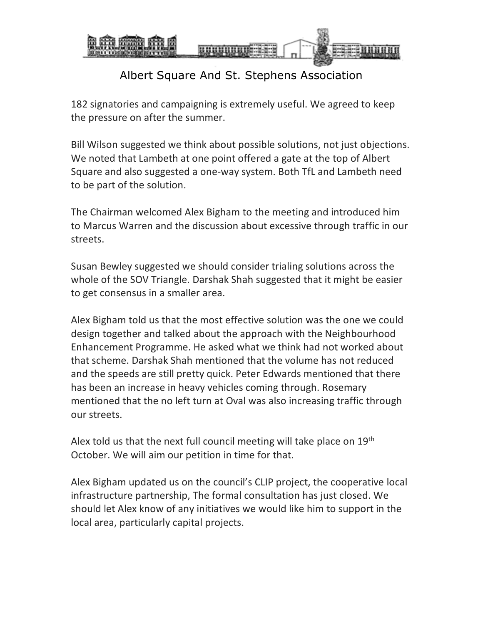

182 signatories and campaigning is extremely useful. We agreed to keep the pressure on after the summer.

Bill Wilson suggested we think about possible solutions, not just objections. We noted that Lambeth at one point offered a gate at the top of Albert Square and also suggested a one-way system. Both TfL and Lambeth need to be part of the solution.

The Chairman welcomed Alex Bigham to the meeting and introduced him to Marcus Warren and the discussion about excessive through traffic in our streets.

Susan Bewley suggested we should consider trialing solutions across the whole of the SOV Triangle. Darshak Shah suggested that it might be easier to get consensus in a smaller area.

Alex Bigham told us that the most effective solution was the one we could design together and talked about the approach with the Neighbourhood Enhancement Programme. He asked what we think had not worked about that scheme. Darshak Shah mentioned that the volume has not reduced and the speeds are still pretty quick. Peter Edwards mentioned that there has been an increase in heavy vehicles coming through. Rosemary mentioned that the no left turn at Oval was also increasing traffic through our streets.

Alex told us that the next full council meeting will take place on 19<sup>th</sup> October. We will aim our petition in time for that.

Alex Bigham updated us on the council's CLIP project, the cooperative local infrastructure partnership, The formal consultation has just closed. We should let Alex know of any initiatives we would like him to support in the local area, particularly capital projects.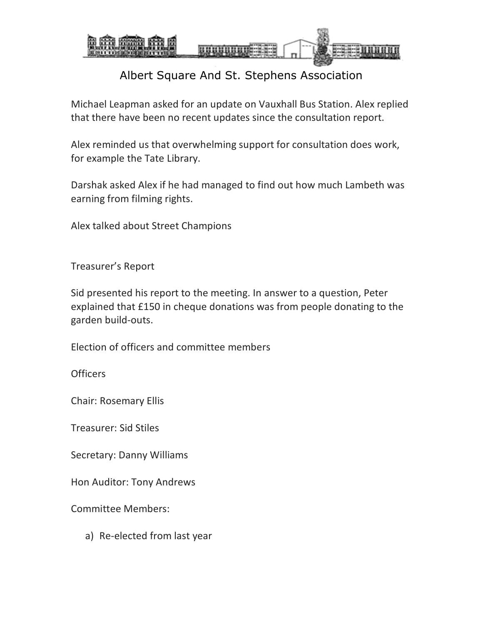

Michael Leapman asked for an update on Vauxhall Bus Station. Alex replied that there have been no recent updates since the consultation report.

Alex reminded us that overwhelming support for consultation does work, for example the Tate Library.

Darshak asked Alex if he had managed to find out how much Lambeth was earning from filming rights.

Alex talked about Street Champions

Treasurer's Report

Sid presented his report to the meeting. In answer to a question, Peter explained that £150 in cheque donations was from people donating to the garden build-outs.

Election of officers and committee members

**Officers** 

Chair: Rosemary Ellis

Treasurer: Sid Stiles

Secretary: Danny Williams

Hon Auditor: Tony Andrews

Committee Members:

a) Re-elected from last year